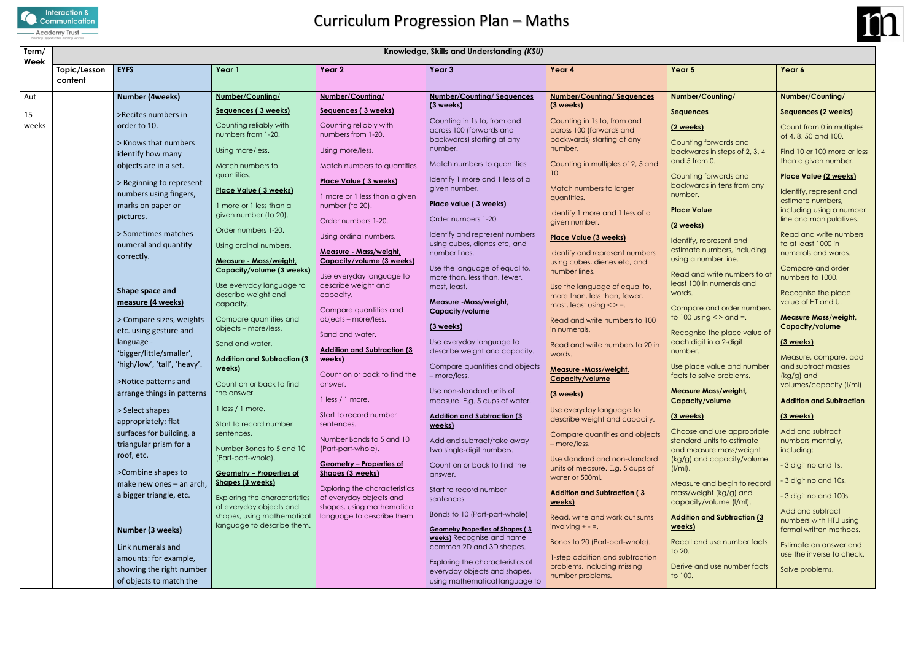

#### **Mass/weight, Capacity/volume**

| Term/<br>Week | Knowledge, Skills and Understanding (KSU) |                                           |                                                          |                                                            |                                                                       |                                                               |                                                                         |                     |  |
|---------------|-------------------------------------------|-------------------------------------------|----------------------------------------------------------|------------------------------------------------------------|-----------------------------------------------------------------------|---------------------------------------------------------------|-------------------------------------------------------------------------|---------------------|--|
|               | Topic/Lesson<br>content                   | <b>EYFS</b>                               | Year 1                                                   | Year 2                                                     | Year 3                                                                | Year 4                                                        | Year 5                                                                  | Year 6              |  |
| Aut           |                                           | <b>Number (4weeks)</b>                    | Number/Counting/                                         | Number/Counting/                                           | <b>Number/Counting/Sequences</b>                                      | <b>Number/Counting/Sequences</b>                              | Number/Counting/                                                        | <b>Number</b>       |  |
| 15            |                                           | >Recites numbers in                       | Sequences (3 weeks)                                      | Sequences (3 weeks)                                        | (3 weeks)                                                             | (3 weeks)                                                     | <b>Sequences</b>                                                        | Sequer              |  |
| weeks         |                                           | order to 10.                              | Counting reliably with                                   | Counting reliably with                                     | Counting in 1s to, from and                                           | Counting in 1s to, from and<br>across 100 (forwards and       | <u>(2 weeks)</u>                                                        | Count               |  |
|               |                                           |                                           | numbers from 1-20.                                       | numbers from 1-20.                                         | across 100 (forwards and<br>backwards) starting at any                | backwards) starting at any                                    |                                                                         | of 4, 8,            |  |
|               |                                           | > Knows that numbers<br>identify how many | Using more/less.                                         | Using more/less.                                           | number.                                                               | number.                                                       | Counting forwards and<br>backwards in steps of 2, 3, 4<br>and 5 from 0. | Find 10             |  |
|               |                                           | objects are in a set.                     | Match numbers to                                         | Match numbers to quantities.                               | Match numbers to quantities                                           | Counting in multiples of 2, 5 and<br>10.                      |                                                                         | than a              |  |
|               |                                           | > Beginning to represent                  | quantities.                                              | Place Value (3 weeks)                                      | Identify 1 more and 1 less of a                                       |                                                               | Counting forwards and<br>backwards in tens from any                     | Place \             |  |
|               |                                           | numbers using fingers,                    | Place Value (3 weeks)                                    | 1 more or 1 less than a given                              | given number.                                                         | Match numbers to larger<br>quantities.                        | number.                                                                 | Identify            |  |
|               |                                           | marks on paper or                         | 1 more or 1 less than a                                  | number (to 20).                                            | Place value (3 weeks)                                                 |                                                               | <b>Place Value</b>                                                      | estima<br>includi   |  |
|               |                                           | pictures.                                 | given number (to 20).                                    | Order numbers 1-20.                                        | Order numbers 1-20.                                                   | Identify 1 more and 1 less of a<br>given number.              |                                                                         | line an             |  |
|               |                                           | > Sometimes matches                       | Order numbers 1-20.                                      |                                                            | Identify and represent numbers                                        |                                                               | (2 weeks)                                                               | Read o              |  |
|               |                                           | numeral and quantity                      | Using ordinal numbers.                                   | Using ordinal numbers.                                     | using cubes, dienes etc, and                                          | <b>Place Value (3 weeks)</b>                                  | Identify, represent and                                                 | to at le            |  |
|               |                                           | correctly.                                | <b>Measure - Mass/weight,</b>                            | <b>Measure - Mass/weight,</b><br>Capacity/volume (3 weeks) | number lines.                                                         | Identify and represent numbers                                | estimate numbers, including<br>using a number line.                     | numer               |  |
|               |                                           |                                           | <b>Capacity/volume (3 weeks)</b>                         |                                                            | Use the language of equal to,                                         | using cubes, dienes etc, and<br>number lines.                 |                                                                         | <b>Comp</b>         |  |
|               |                                           |                                           | Use everyday language to                                 | Use everyday language to<br>describe weight and            | more than, less than, fewer,<br>most, least.                          |                                                               | Read and write numbers to at<br>least 100 in numerals and               | numbe               |  |
|               |                                           | Shape space and                           | describe weight and                                      | capacity.                                                  |                                                                       | Use the language of equal to,<br>more than, less than, fewer, | words.                                                                  | Recog               |  |
|               |                                           | measure (4 weeks)                         | capacity.                                                | Compare quantities and                                     | Measure -Mass/weight,<br><b>Capacity/volume</b>                       | most, least using $\lt$ > =.                                  | Compare and order numbers                                               | value o             |  |
|               |                                           | > Compare sizes, weights                  | Compare quantities and                                   | objects - more/less.                                       |                                                                       | Read and write numbers to 100                                 | to $100$ using $\lt$ > and =.                                           | Measu               |  |
|               |                                           | etc. using gesture and                    | objects - more/less.                                     | Sand and water.                                            | (3 weeks)                                                             | in numerals.                                                  | Recognise the place value of                                            | Capac               |  |
|               |                                           | language -                                | Sand and water.                                          |                                                            | Use everyday language to                                              | Read and write numbers to 20 in                               | each digit in a 2-digit                                                 | <u>(3 wee</u>       |  |
|               |                                           | 'bigger/little/smaller',                  | <b>Addition and Subtraction (3)</b>                      | <b>Addition and Subtraction (3)</b><br>weeks)              | describe weight and capacity.                                         | words.                                                        | number.                                                                 | Measu               |  |
|               |                                           | 'high/low', 'tall', 'heavy'.              | weeks)                                                   | Count on or back to find the                               | Compare quantities and objects                                        | <b>Measure - Mass/weight,</b>                                 | Use place value and number                                              | and su              |  |
|               |                                           | >Notice patterns and                      | Count on or back to find                                 | answer.                                                    | - more/less.                                                          | Capacity/volume                                               | facts to solve problems.                                                | (kg/g)<br>volume    |  |
|               |                                           | arrange things in patterns                | the answer.                                              | 1 less / 1 more.                                           | Use non-standard units of                                             | (3 weeks)                                                     | <b>Measure Mass/weight,</b>                                             | <b>Additic</b>      |  |
|               |                                           | > Select shapes                           | 1 less / 1 more.                                         |                                                            | measure. E.g. 5 cups of water.                                        | Use everyday language to                                      | Capacity/volume                                                         |                     |  |
|               |                                           | appropriately: flat                       | Start to record number                                   | Start to record number<br>sentences.                       | <b>Addition and Subtraction (3)</b><br>weeks)                         | describe weight and capacity.                                 | (3 weeks)                                                               | (3 <sub>wee</sub> ) |  |
|               |                                           | surfaces for building, a                  | sentences.                                               |                                                            |                                                                       | Compare quantities and objects                                | Choose and use appropriate                                              | Add ar              |  |
|               |                                           | triangular prism for a                    | Number Bonds to 5 and 10                                 | Number Bonds to 5 and 10<br>(Part-part-whole).             | Add and subtract/take away<br>two single-digit numbers.               | - more/less.                                                  | standard units to estimate<br>and measure mass/weight                   | numbe<br>includi    |  |
|               |                                           | roof, etc.                                | (Part-part-whole).                                       |                                                            |                                                                       | Use standard and non-standard                                 | (kg/g) and capacity/volume                                              |                     |  |
|               |                                           | >Combine shapes to                        | Geometry - Properties of                                 | Geometry - Properties of<br>Shapes (3 weeks)               | Count on or back to find the<br>answer.                               | units of measure. E.g. 5 cups of                              | $(1/ml)$ .                                                              | - 3 digi            |  |
|               |                                           | make new ones - an arch,                  | Shapes (3 weeks)                                         | <b>Exploring the characteristics</b>                       |                                                                       | water or 500ml.                                               | Measure and begin to record                                             | - 3 digi            |  |
|               |                                           | a bigger triangle, etc.                   | <b>Exploring the characteristics</b>                     | of everyday objects and                                    | Start to record number<br>sentences.                                  | <b>Addition and Subtraction (3)</b>                           | mass/weight (kg/g) and                                                  | - 3 digi            |  |
|               |                                           |                                           | of everyday objects and                                  | shapes, using mathematical                                 | Bonds to 10 (Part-part-whole)                                         | weeks)                                                        | capacity/volume (I/ml).                                                 | Add ar              |  |
|               |                                           |                                           | shapes, using mathematical<br>language to describe them. | language to describe them.                                 |                                                                       | Read, write and work out sums<br>involving $+ - =$ .          | <b>Addition and Subtraction (3)</b><br>weeks)                           | numbe               |  |
|               |                                           | <b>Number (3 weeks)</b>                   |                                                          |                                                            | <b>Geometry Properties of Shapes (3)</b><br>weeks) Recognise and name |                                                               |                                                                         | formal              |  |
|               |                                           | Link numerals and                         |                                                          |                                                            | common 2D and 3D shapes.                                              | Bonds to 20 (Part-part-whole).                                | Recall and use number facts<br>to 20.                                   | Estimat             |  |
|               |                                           | amounts: for example,                     |                                                          |                                                            | Exploring the characteristics of                                      | 1-step addition and subtraction                               |                                                                         | use the             |  |
|               |                                           | showing the right number                  |                                                          |                                                            | everyday objects and shapes,                                          | problems, including missing<br>number problems.               | Derive and use number facts<br>to 100.                                  | Solve p             |  |
|               |                                           | of objects to match the                   |                                                          |                                                            | using mathematical language to                                        |                                                               |                                                                         |                     |  |



#### **Number/Counting/**

#### es:

#### **Place Value**

#### **Addition and Subtraction (3**

#### **Number/Counting/**

#### **Sequences (2 weeks)**

Count from 0 in multiples of 4, 8, 50 and 100.

Find 10 or 100 more or less than a given number.

#### **Place Value (2 weeks)**

Identify, represent and estimate numbers, including using a number line and manipulatives.

Read and write numbers to at least 1000 in numerals and words.

Compare and order numbers to 1000.

Recognise the place value of HT and U.

#### **Measure Mass/weight, Capacity/volume**

### **(3 weeks)**

Measure, compare, add and subtract masses (kg/g) and volumes/capacity (l/ml)

#### **Addition and Subtraction**

### **(3 weeks)**

Add and subtract numbers mentally, including:

- 3 digit no and 1s.
- 3 digit no and 10s.
- 3 digit no and 100s.

Add and subtract numbers with HTU using formal written methods.

Estimate an answer and use the inverse to check.

Solve problems.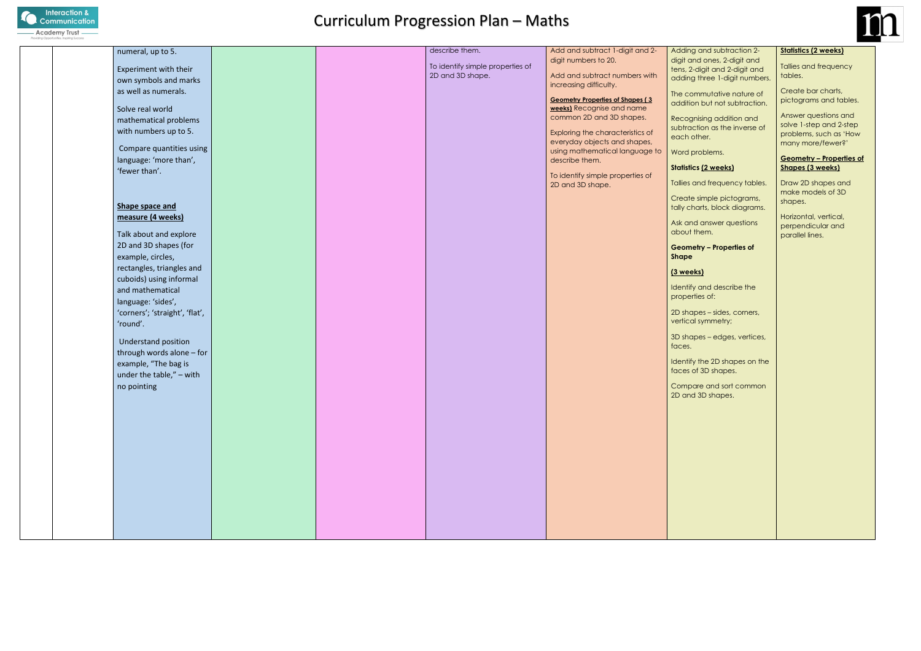| numeral, up to 5.                                  |  | describe them.                   | Add and subtract 1-digit and 2-                                              | Addin              |
|----------------------------------------------------|--|----------------------------------|------------------------------------------------------------------------------|--------------------|
| Experiment with their                              |  | To identify simple properties of | digit numbers to 20.                                                         | digit a<br>tens, 2 |
| own symbols and marks                              |  | 2D and 3D shape.                 | Add and subtract numbers with                                                | adding             |
| as well as numerals.                               |  |                                  | increasing difficulty.                                                       | The co             |
| Solve real world                                   |  |                                  | <b>Geometry Properties of Shapes (3)</b><br><b>weeks)</b> Recognise and name | additi             |
| mathematical problems                              |  |                                  | common 2D and 3D shapes.                                                     | Recog              |
| with numbers up to 5.                              |  |                                  | Exploring the characteristics of                                             | subtra             |
|                                                    |  |                                  | everyday objects and shapes,                                                 | each               |
| Compare quantities using<br>language: 'more than', |  |                                  | using mathematical language to<br>describe them.                             | Word               |
| 'fewer than'.                                      |  |                                  |                                                                              | <b>Statisti</b>    |
|                                                    |  |                                  | To identify simple properties of<br>2D and 3D shape.                         | <b>Tallies</b>     |
|                                                    |  |                                  |                                                                              | Creat              |
| Shape space and                                    |  |                                  |                                                                              | tally c            |
| measure (4 weeks)                                  |  |                                  |                                                                              | Ask ar             |
| Talk about and explore                             |  |                                  |                                                                              | about              |
| 2D and 3D shapes (for                              |  |                                  |                                                                              | Geom               |
| example, circles,                                  |  |                                  |                                                                              | <b>Shape</b>       |
| rectangles, triangles and                          |  |                                  |                                                                              | <b>(3 wee</b>      |
| cuboids) using informal                            |  |                                  |                                                                              | Identif            |
| and mathematical<br>language: 'sides',             |  |                                  |                                                                              | prope              |
| 'corners'; 'straight', 'flat',                     |  |                                  |                                                                              | 2D sho             |
| 'round'.                                           |  |                                  |                                                                              | vertico            |
|                                                    |  |                                  |                                                                              | 3D sho             |
| Understand position<br>through words alone - for   |  |                                  |                                                                              | faces.             |
| example, "The bag is                               |  |                                  |                                                                              | Identif            |
| under the table," - with                           |  |                                  |                                                                              | faces              |
| no pointing                                        |  |                                  |                                                                              | Comp               |
|                                                    |  |                                  |                                                                              | 2D an              |
|                                                    |  |                                  |                                                                              |                    |
|                                                    |  |                                  |                                                                              |                    |
|                                                    |  |                                  |                                                                              |                    |
|                                                    |  |                                  |                                                                              |                    |
|                                                    |  |                                  |                                                                              |                    |
|                                                    |  |                                  |                                                                              |                    |
|                                                    |  |                                  |                                                                              |                    |
|                                                    |  |                                  |                                                                              |                    |
|                                                    |  |                                  |                                                                              |                    |
|                                                    |  |                                  |                                                                              |                    |
|                                                    |  |                                  |                                                                              |                    |



ag and subtraction 2and ones, 2-digit and 2-digit and 2-digit and g three 1-digit numbers.

ommutative nature of ion but not subtraction.

gnising addition and action as the inverse of other.

problems.

#### **Statistics (2 weeks)**

and frequency tables.

te simple pictograms, charts, block diagrams.

nd answer questions t them.

#### **Geometry – Properties of**

#### **(3 weeks)**

Ify and describe the erties of:

apes – sides, corners, al symmetry;

apes – edges, vertices,

Ify the 2D shapes on the of 3D shapes.

oare and sort common ad 3D shapes.

#### **Statistics (2 weeks)**

Tallies and frequency tables.

Create bar charts, pictograms and tables.

Answer questions and solve 1-step and 2-step problems, such as 'How many more/fewer?'

#### **Geometry – Properties of Shapes (3 weeks)**

Draw 2D shapes and make models of 3D shapes.

Horizontal, vertical, perpendicular and parallel lines.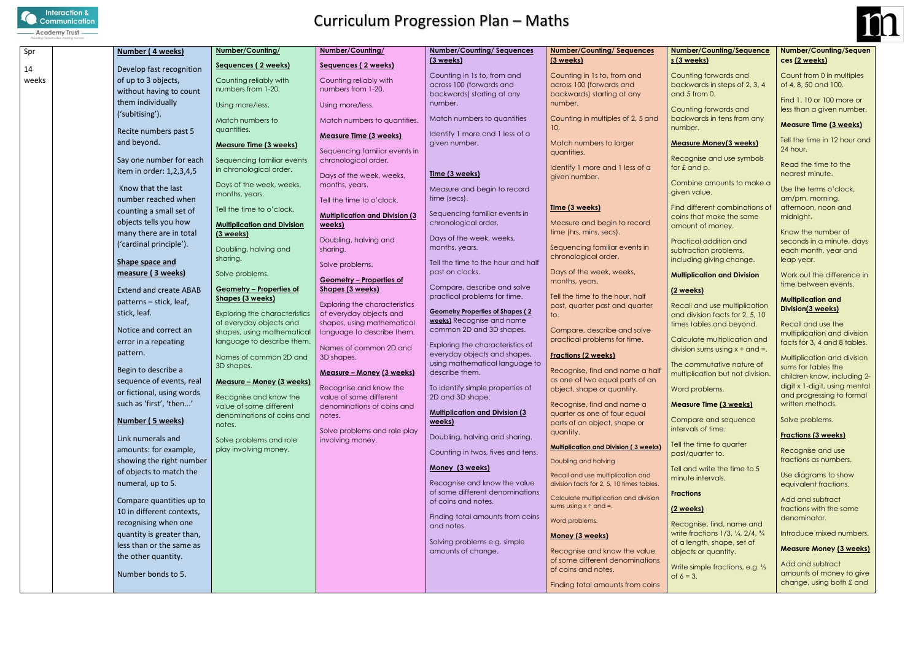

| Spr   | Number (4 weeks)              | Number/Counting/                                  | Number/Counting/                                                | <b>Number/Counting/Sequences</b>                       | <b>Number/Counting/Sequences</b>                                | <b>Numb</b>      |
|-------|-------------------------------|---------------------------------------------------|-----------------------------------------------------------------|--------------------------------------------------------|-----------------------------------------------------------------|------------------|
| 14    | Develop fast recognition      | Sequences (2 weeks)                               | Sequences (2 weeks)                                             | (3 weeks)                                              | (3 weeks)                                                       | <u>s (3 w</u>    |
| weeks | of up to 3 objects,           | Counting reliably with                            | Counting reliably with                                          | Counting in 1s to, from and                            | Counting in 1s to, from and                                     | Coun             |
|       | without having to count       | numbers from 1-20.                                | numbers from 1-20.                                              | across 100 (forwards and<br>backwards) starting at any | across 100 (forwards and                                        | back<br>and 5    |
|       | them individually             | Using more/less.                                  | Using more/less.                                                | number.                                                | backwards) starting at any<br>number.                           |                  |
|       | ('subitising').               |                                                   |                                                                 |                                                        |                                                                 | Coun             |
|       |                               | Match numbers to                                  | Match numbers to quantities.                                    | Match numbers to quantities                            | Counting in multiples of 2, 5 and<br>10.                        | back<br>numb     |
|       | Recite numbers past 5         | quantities.                                       | <b>Measure Time (3 weeks)</b>                                   | Identify 1 more and 1 less of a                        |                                                                 |                  |
|       | and beyond.                   | <b>Measure Time (3 weeks)</b>                     | Sequencing familiar events in                                   | given number.                                          | Match numbers to larger                                         | Meas             |
|       | Say one number for each       | Sequencing familiar events                        | chronological order.                                            |                                                        | quantities.                                                     | Reco             |
|       | item in order: 1,2,3,4,5      | in chronological order.                           |                                                                 | Time (3 weeks)                                         | Identify 1 more and 1 less of a                                 | for £ c          |
|       |                               | Days of the week, weeks,                          | Days of the week, weeks,<br>months, years.                      |                                                        | given number.                                                   | Comb             |
|       | Know that the last            | months, years.                                    |                                                                 | Measure and begin to record                            |                                                                 | given            |
|       | number reached when           |                                                   | Tell the time to o'clock.                                       | time (secs).                                           | Time (3 weeks)                                                  | Find c           |
|       | counting a small set of       | Tell the time to o'clock.                         | <b>Multiplication and Division (3)</b>                          | Sequencing familiar events in                          |                                                                 | coins            |
|       | objects tells you how         | <b>Multiplication and Division</b>                | weeks)                                                          | chronological order.                                   | Measure and begin to record<br>time (hrs, mins, secs).          | amou             |
|       | many there are in total       | (3 weeks)                                         | Doubling, halving and                                           | Days of the week, weeks,                               |                                                                 | Practi           |
|       | ('cardinal principle').       | Doubling, halving and                             | sharing.                                                        | months, years.                                         | Sequencing familiar events in                                   | subtro           |
|       | Shape space and               | sharing.                                          | Solve problems.                                                 | Tell the time to the hour and half                     | chronological order.                                            | incluc           |
|       | measure (3 weeks)             | Solve problems.                                   |                                                                 | past on clocks.                                        | Days of the week, weeks,                                        | Multip           |
|       | <b>Extend and create ABAB</b> | <b>Geometry - Properties of</b>                   | <b>Geometry - Properties of</b><br><b>Shapes (3 weeks)</b>      | Compare, describe and solve                            | months, years.                                                  |                  |
|       | patterns - stick, leaf,       | Shapes (3 weeks)                                  |                                                                 | practical problems for time.                           | Tell the time to the hour, half                                 | (2 we            |
|       | stick, leaf.                  | <b>Exploring the characteristics</b>              | <b>Exploring the characteristics</b><br>of everyday objects and | <b>Geometry Properties of Shapes (2)</b>               | past, quarter past and quarter                                  | Recal            |
|       |                               | of everyday objects and                           | shapes, using mathematical                                      | <b>weeks)</b> Recognise and name                       | to.                                                             | and c<br>times   |
|       | Notice and correct an         | shapes, using mathematical                        | language to describe them.                                      | common 2D and 3D shapes.                               | Compare, describe and solve                                     |                  |
|       | error in a repeating          | language to describe them.                        | Names of common 2D and                                          | Exploring the characteristics of                       | practical problems for time.                                    | Calcu<br>divisio |
|       | pattern.                      | Names of common 2D and                            | 3D shapes.                                                      | everyday objects and shapes,                           | <b>Fractions (2 weeks)</b>                                      |                  |
|       | Begin to describe a           | 3D shapes.                                        | Measure - Money (3 weeks)                                       | using mathematical language to<br>describe them.       | Recognise, find and name a half                                 | The c            |
|       | sequence of events, real      | <b>Measure - Money (3 weeks)</b>                  |                                                                 |                                                        | as one of two equal parts of an                                 | multip           |
|       | or fictional, using words     |                                                   | Recognise and know the                                          | To identify simple properties of                       | object, shape or quantity.                                      | Word             |
|       | such as 'first', 'then'       | Recognise and know the<br>value of some different | value of some different<br>denominations of coins and           | 2D and 3D shape.                                       | Recognise, find and name a                                      | Meas             |
|       |                               | denominations of coins and                        | notes.                                                          | <b>Multiplication and Division (3)</b>                 | quarter as one of four equal                                    |                  |
|       | Number (5 weeks)              | notes.                                            | Solve problems and role play                                    | weeks)                                                 | parts of an object, shape or                                    | Comp<br>interv   |
|       | Link numerals and             | Solve problems and role                           | involving money.                                                | Doubling, halving and sharing.                         | quantity.                                                       |                  |
|       | amounts: for example,         | play involving money.                             |                                                                 | Counting in twos, fives and tens.                      | <b>Multiplication and Division (3 weeks)</b>                    | Tell th<br>past/ |
|       | showing the right number      |                                                   |                                                                 |                                                        | Doubling and halving                                            |                  |
|       | of objects to match the       |                                                   |                                                                 | Money (3 weeks)                                        | Recall and use multiplication and                               | Tell ar<br>minut |
|       | numeral, up to 5.             |                                                   |                                                                 | Recognise and know the value                           | division facts for 2, 5, 10 times tables.                       |                  |
|       | Compare quantities up to      |                                                   |                                                                 | of some different denominations<br>of coins and notes. | Calculate multiplication and division                           | Fracti           |
|       | 10 in different contexts,     |                                                   |                                                                 |                                                        | sums using $x \div$ and =.                                      | <u>(2 we</u>     |
|       | recognising when one          |                                                   |                                                                 | Finding total amounts from coins                       | Word problems.                                                  | Reco             |
|       | quantity is greater than,     |                                                   |                                                                 | and notes.                                             | Money (3 weeks)                                                 | write t          |
|       | less than or the same as      |                                                   |                                                                 | Solving problems e.g. simple                           |                                                                 | of a le          |
|       | the other quantity.           |                                                   |                                                                 | amounts of change.                                     | Recognise and know the value<br>of some different denominations | objec            |
|       |                               |                                                   |                                                                 |                                                        | of coins and notes.                                             | Write            |
|       | Number bonds to 5.            |                                                   |                                                                 |                                                        | Finding total amounts from coins                                | of $6 =$         |
|       |                               |                                                   |                                                                 |                                                        |                                                                 |                  |



#### **Number/Counting/Sequence s (3 weeks)**

ting forwards and wards in steps of  $2, 3, 4$  $binom{1}{2}$ 

ting forwards and wards in tens from any er.

#### **<u>Ure Money(3 weeks)</u>**

gnise and use symbols and p.

pine amounts to make a value.

different combinations of that make the same unt of money.

ical addition and action problems, ling giving change. Read the time to the nearest minute.

Multiplication and division sums for tables the children know, including 2 digit x 1-digit, using mental and progressing to formal written methods.

#### **Multiplication and Division**

### **(2 weeks)**

**Require an** Indian and use multiplication division facts for 2, 5, 10 tables and beyond.

Jate multiplication and on sums using  $x \div$  and =.

ommutative nature of blication but not division.

problems.

#### **Measure Time (3 weeks)**

pare and sequence als of time.

e time to quarter quarter to.

and write the time to 5 e intervals.

### **ions**

### **(2 weeks)**

gnise, find, name and fractions 1/3, 1/4, 2/4, 3/4 ength, shape, set of ts or quantity.

simple fractions, e.g.  $\frac{1}{2}$  $3.$ 

#### **Number/Counting/Sequen ces (2 weeks)**

Count from 0 in multiples of 4, 8, 50 and 100.

Find 1, 10 or 100 more or less than a given number.

#### **Measure Time (3 weeks)**

Tell the time in 12 hour and 24 hour.

Use the terms o'clock, am/pm, morning, afternoon, noon and midnight.

Know the number of seconds in a minute, days each month, year and leap year.

Work out the difference in time between events.

#### **Multiplication and Division(3 weeks)**

Recall and use the multiplication and division facts for 3, 4 and 8 tables.

Solve problems.

#### **Fractions (3 weeks)**

Recognise and use fractions as numbers.

Use diagrams to show equivalent fractions.

Add and subtract fractions with the same denominator.

Introduce mixed numbers.

#### **Measure Money (3 weeks)**

Add and subtract amounts of money to give change, using both £ and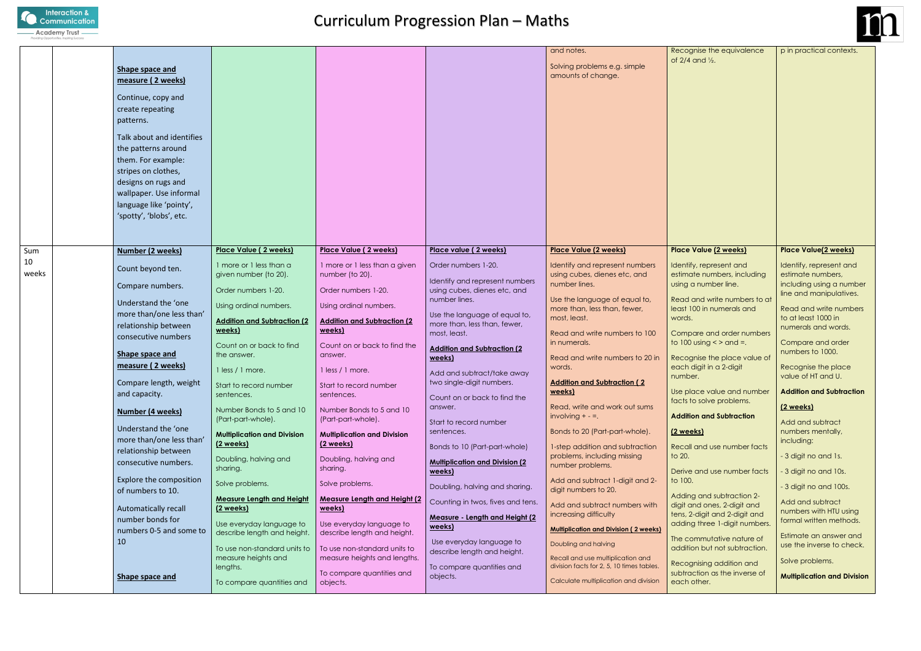

| Place Value (2 weeks)<br>Place Value (2 weeks)<br>Place Value (2 weeks)<br><b>Place Value(2 weeks)</b><br>Place Value (2 weeks)<br>Place value (2 weeks)<br>Sum<br><b>Number (2 weeks)</b><br>10<br>1 more or 1 less than a<br>1 more or 1 less than a given<br>Order numbers 1-20.<br>Identify, represent and<br>Identify, represent and<br>Identify and represent numbers<br>Count beyond ten.<br>weeks<br>given number (to 20).<br>number (to 20).<br>using cubes, dienes etc, and<br>estimate numbers, including<br>estimate numbers,<br>Identify and represent numbers<br>number lines.<br>using a number line.<br>Compare numbers.<br>Order numbers 1-20.<br>Order numbers 1-20.<br>using cubes, dienes etc, and<br>line and manipulatives.<br>number lines.<br>Use the language of equal to,<br>Read and write numbers to at<br>Understand the 'one<br>Using ordinal numbers.<br>Using ordinal numbers.<br>more than, less than, fewer,<br>least 100 in numerals and<br>Read and write numbers<br>more than/one less than'<br>Use the language of equal to,<br>to at least 1000 in<br>most, least.<br>words.<br><b>Addition and Subtraction (2)</b><br><b>Addition and Subtraction (2)</b><br>more than, less than, fewer,<br>relationship between<br>numerals and words.<br>weeks)<br>weeks)<br>most, least.<br>Compare and order numbers<br>Read and write numbers to 100<br>consecutive numbers<br>to $100$ using $\leq$ and =.<br>in numerals.<br>Compare and order<br>Count on or back to find<br>Count on or back to find the<br><b>Addition and Subtraction (2)</b><br>numbers to 1000.<br>Shape space and<br>the answer.<br>answer.<br>Read and write numbers to 20 in<br>Recognise the place value of<br>weeks)<br>measure (2 weeks)<br>each digit in a 2-digit<br>words.<br>Recognise the place<br>1 less / 1 more.<br>1 less / 1 more.<br>Add and subtract/take away<br>value of HT and U.<br>number. |                                    |
|-------------------------------------------------------------------------------------------------------------------------------------------------------------------------------------------------------------------------------------------------------------------------------------------------------------------------------------------------------------------------------------------------------------------------------------------------------------------------------------------------------------------------------------------------------------------------------------------------------------------------------------------------------------------------------------------------------------------------------------------------------------------------------------------------------------------------------------------------------------------------------------------------------------------------------------------------------------------------------------------------------------------------------------------------------------------------------------------------------------------------------------------------------------------------------------------------------------------------------------------------------------------------------------------------------------------------------------------------------------------------------------------------------------------------------------------------------------------------------------------------------------------------------------------------------------------------------------------------------------------------------------------------------------------------------------------------------------------------------------------------------------------------------------------------------------------------------------------------------------------------------------------------------------------------|------------------------------------|
|                                                                                                                                                                                                                                                                                                                                                                                                                                                                                                                                                                                                                                                                                                                                                                                                                                                                                                                                                                                                                                                                                                                                                                                                                                                                                                                                                                                                                                                                                                                                                                                                                                                                                                                                                                                                                                                                                                                         |                                    |
|                                                                                                                                                                                                                                                                                                                                                                                                                                                                                                                                                                                                                                                                                                                                                                                                                                                                                                                                                                                                                                                                                                                                                                                                                                                                                                                                                                                                                                                                                                                                                                                                                                                                                                                                                                                                                                                                                                                         |                                    |
|                                                                                                                                                                                                                                                                                                                                                                                                                                                                                                                                                                                                                                                                                                                                                                                                                                                                                                                                                                                                                                                                                                                                                                                                                                                                                                                                                                                                                                                                                                                                                                                                                                                                                                                                                                                                                                                                                                                         | including using a number           |
|                                                                                                                                                                                                                                                                                                                                                                                                                                                                                                                                                                                                                                                                                                                                                                                                                                                                                                                                                                                                                                                                                                                                                                                                                                                                                                                                                                                                                                                                                                                                                                                                                                                                                                                                                                                                                                                                                                                         |                                    |
|                                                                                                                                                                                                                                                                                                                                                                                                                                                                                                                                                                                                                                                                                                                                                                                                                                                                                                                                                                                                                                                                                                                                                                                                                                                                                                                                                                                                                                                                                                                                                                                                                                                                                                                                                                                                                                                                                                                         |                                    |
|                                                                                                                                                                                                                                                                                                                                                                                                                                                                                                                                                                                                                                                                                                                                                                                                                                                                                                                                                                                                                                                                                                                                                                                                                                                                                                                                                                                                                                                                                                                                                                                                                                                                                                                                                                                                                                                                                                                         |                                    |
|                                                                                                                                                                                                                                                                                                                                                                                                                                                                                                                                                                                                                                                                                                                                                                                                                                                                                                                                                                                                                                                                                                                                                                                                                                                                                                                                                                                                                                                                                                                                                                                                                                                                                                                                                                                                                                                                                                                         |                                    |
|                                                                                                                                                                                                                                                                                                                                                                                                                                                                                                                                                                                                                                                                                                                                                                                                                                                                                                                                                                                                                                                                                                                                                                                                                                                                                                                                                                                                                                                                                                                                                                                                                                                                                                                                                                                                                                                                                                                         |                                    |
| two single-digit numbers.<br><b>Addition and Subtraction (2)</b><br>Compare length, weight<br>Start to record number<br>Start to record number<br>Use place value and number   Addition and Subtraction<br>weeks)                                                                                                                                                                                                                                                                                                                                                                                                                                                                                                                                                                                                                                                                                                                                                                                                                                                                                                                                                                                                                                                                                                                                                                                                                                                                                                                                                                                                                                                                                                                                                                                                                                                                                                       |                                    |
| and capacity.<br>sentences.<br>sentences.<br>Count on or back to find the<br>facts to solve problems.<br>Read, write and work out sums<br>(2 weeks)<br>answer.<br>Number Bonds to 5 and 10<br>Number Bonds to 5 and 10                                                                                                                                                                                                                                                                                                                                                                                                                                                                                                                                                                                                                                                                                                                                                                                                                                                                                                                                                                                                                                                                                                                                                                                                                                                                                                                                                                                                                                                                                                                                                                                                                                                                                                  |                                    |
| Number (4 weeks)<br>involving $+ - =$ .<br><b>Addition and Subtraction</b><br>(Part-part-whole).<br>(Part-part-whole).<br>Add and subtract<br>Start to record number                                                                                                                                                                                                                                                                                                                                                                                                                                                                                                                                                                                                                                                                                                                                                                                                                                                                                                                                                                                                                                                                                                                                                                                                                                                                                                                                                                                                                                                                                                                                                                                                                                                                                                                                                    |                                    |
| Understand the 'one<br>Bonds to 20 (Part-part-whole).<br>numbers mentally,<br>sentences.<br>(2 weeks)<br><b>Multiplication and Division</b><br><b>Multiplication and Division</b><br>more than/one less than'<br>including:                                                                                                                                                                                                                                                                                                                                                                                                                                                                                                                                                                                                                                                                                                                                                                                                                                                                                                                                                                                                                                                                                                                                                                                                                                                                                                                                                                                                                                                                                                                                                                                                                                                                                             |                                    |
| (2 weeks)<br>(2 weeks)<br>Bonds to 10 (Part-part-whole)<br>Recall and use number facts<br>1-step addition and subtraction<br>relationship between<br>problems, including missing<br>- 3 digit no and 1s.<br>to $20.$<br>Doubling, halving and<br>Doubling, halving and                                                                                                                                                                                                                                                                                                                                                                                                                                                                                                                                                                                                                                                                                                                                                                                                                                                                                                                                                                                                                                                                                                                                                                                                                                                                                                                                                                                                                                                                                                                                                                                                                                                  |                                    |
| consecutive numbers.<br><b>Multiplication and Division (2)</b><br>number problems.<br>sharing.<br>sharing.<br>- 3 digit no and 10s.<br>weeks)<br>Derive and use number facts                                                                                                                                                                                                                                                                                                                                                                                                                                                                                                                                                                                                                                                                                                                                                                                                                                                                                                                                                                                                                                                                                                                                                                                                                                                                                                                                                                                                                                                                                                                                                                                                                                                                                                                                            |                                    |
| Explore the composition<br>Add and subtract 1-digit and 2-<br>to 100.<br>Solve problems.<br>Solve problems.<br>Doubling, halving and sharing.<br>- 3 digit no and 100s.<br>digit numbers to 20.<br>of numbers to 10.                                                                                                                                                                                                                                                                                                                                                                                                                                                                                                                                                                                                                                                                                                                                                                                                                                                                                                                                                                                                                                                                                                                                                                                                                                                                                                                                                                                                                                                                                                                                                                                                                                                                                                    |                                    |
| Adding and subtraction 2-<br><b>Measure Length and Height</b><br><b>Measure Length and Height (2</b><br>Counting in twos, fives and tens.<br>Add and subtract<br>Add and subtract numbers with<br>digit and ones, 2-digit and<br>Automatically recall<br>(2 weeks)<br>weeks)                                                                                                                                                                                                                                                                                                                                                                                                                                                                                                                                                                                                                                                                                                                                                                                                                                                                                                                                                                                                                                                                                                                                                                                                                                                                                                                                                                                                                                                                                                                                                                                                                                            |                                    |
| numbers with HTU using<br>tens, 2-digit and 2-digit and<br>increasing difficulty<br>Measure - Length and Height (2<br>number bonds for<br>formal written methods.<br>adding three 1-digit numbers.<br>Use everyday language to<br>Use everyday language to<br>weeks)                                                                                                                                                                                                                                                                                                                                                                                                                                                                                                                                                                                                                                                                                                                                                                                                                                                                                                                                                                                                                                                                                                                                                                                                                                                                                                                                                                                                                                                                                                                                                                                                                                                    |                                    |
| <b>Multiplication and Division (2 weeks)</b><br>numbers 0-5 and some to<br>describe length and height.<br>describe length and height.<br>Estimate an answer and<br>The commutative nature of<br>10<br>Use everyday language to<br>Doubling and halving                                                                                                                                                                                                                                                                                                                                                                                                                                                                                                                                                                                                                                                                                                                                                                                                                                                                                                                                                                                                                                                                                                                                                                                                                                                                                                                                                                                                                                                                                                                                                                                                                                                                  |                                    |
| addition but not subtraction.<br>To use non-standard units to<br>To use non-standard units to<br>describe length and height.<br>measure heights and<br>measure heights and lengths.<br>Recall and use multiplication and<br>Solve problems.                                                                                                                                                                                                                                                                                                                                                                                                                                                                                                                                                                                                                                                                                                                                                                                                                                                                                                                                                                                                                                                                                                                                                                                                                                                                                                                                                                                                                                                                                                                                                                                                                                                                             | use the inverse to check.          |
| Recognising addition and<br>division facts for 2, 5, 10 times tables.<br>lengths.<br>To compare quantities and<br>subtraction as the inverse of<br>To compare quantities and<br>objects.<br>Shape space and                                                                                                                                                                                                                                                                                                                                                                                                                                                                                                                                                                                                                                                                                                                                                                                                                                                                                                                                                                                                                                                                                                                                                                                                                                                                                                                                                                                                                                                                                                                                                                                                                                                                                                             | <b>Multiplication and Division</b> |
| Calculate multiplication and division<br>To compare quantities and<br>each other.<br>objects.                                                                                                                                                                                                                                                                                                                                                                                                                                                                                                                                                                                                                                                                                                                                                                                                                                                                                                                                                                                                                                                                                                                                                                                                                                                                                                                                                                                                                                                                                                                                                                                                                                                                                                                                                                                                                           |                                    |

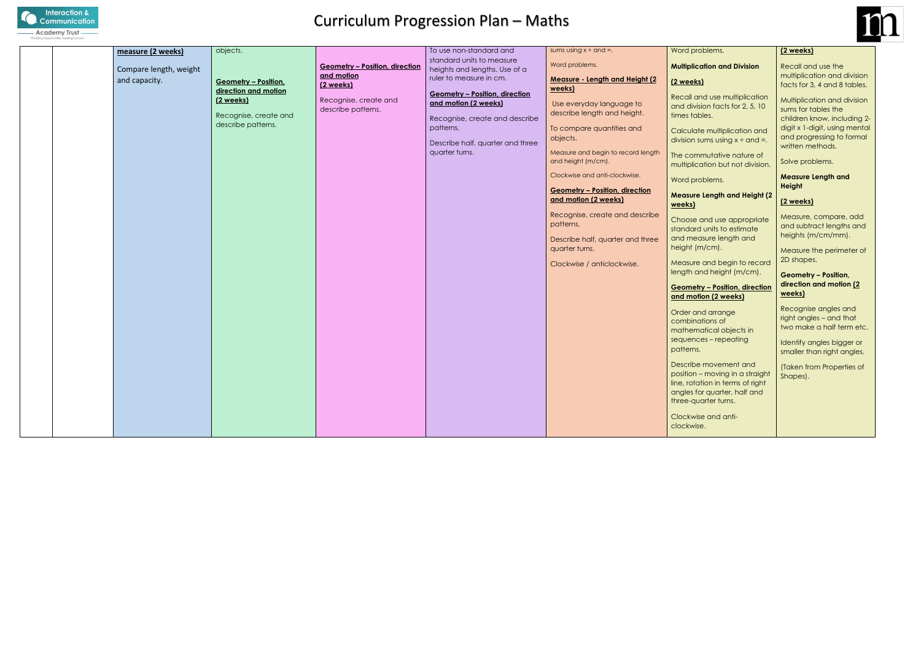

|  | measure (2 weeks)      | objects.                                                                         |                                             | To use non-standard and                                                                                                                                            | sums using $x \div$ and =.                                                                                                                                                                                                                                                                                                                                                                                  | Word p                                                                                                                                                                                                                                                                                                                           |
|--|------------------------|----------------------------------------------------------------------------------|---------------------------------------------|--------------------------------------------------------------------------------------------------------------------------------------------------------------------|-------------------------------------------------------------------------------------------------------------------------------------------------------------------------------------------------------------------------------------------------------------------------------------------------------------------------------------------------------------------------------------------------------------|----------------------------------------------------------------------------------------------------------------------------------------------------------------------------------------------------------------------------------------------------------------------------------------------------------------------------------|
|  | Compare length, weight |                                                                                  | <b>Geometry - Position, direction</b>       | standard units to measure<br>heights and lengths. Use of a                                                                                                         | Word problems.                                                                                                                                                                                                                                                                                                                                                                                              | Multipli                                                                                                                                                                                                                                                                                                                         |
|  | and capacity.          | <b>Geometry - Position,</b>                                                      | and motion<br>(2 weeks)                     | ruler to measure in cm.                                                                                                                                            | <b>Measure - Length and Height (2)</b>                                                                                                                                                                                                                                                                                                                                                                      | (2 weel                                                                                                                                                                                                                                                                                                                          |
|  |                        | direction and motion<br>(2 weeks)<br>Recognise, create and<br>describe patterns. | Recognise, create and<br>describe patterns. | <b>Geometry - Position, direction</b><br>and motion (2 weeks)<br>Recognise, create and describe<br>patterns.<br>Describe half, quarter and three<br>quarter turns. | weeks)<br>Use everyday language to<br>describe length and height.<br>To compare quantities and<br>objects.<br>Measure and begin to record length<br>and height (m/cm).<br>Clockwise and anti-clockwise.<br><b>Geometry - Position, direction</b><br>and motion (2 weeks)<br>Recognise, create and describe<br>patterns.<br>Describe half, quarter and three<br>quarter turns.<br>Clockwise / anticlockwise. | <b>Recall</b><br>and div<br>times to<br>Calcula<br>division<br>The cor<br>multipli<br>Word p<br>Measur<br>weeks)<br>Choose<br>standa<br>and me<br>height<br>Measur<br>length<br>Geome<br>and mo<br>Order o<br>combir<br>mather<br>sequer<br>pattern<br>Describ<br>position<br>line, rot<br>angles<br>three-c<br>Clockw<br>clockw |
|  |                        |                                                                                  |                                             |                                                                                                                                                                    |                                                                                                                                                                                                                                                                                                                                                                                                             |                                                                                                                                                                                                                                                                                                                                  |



#### problems.

#### **<u>Cation and Division</u>**

#### **<u>etry – Position, direction</u> and motion (2 weeks)**

and arrange nations of matical objects in nces – repeating patterns.

be movement and n – moving in a straight tation in terms of right for quarter, half and quarter turns.

wise and antivise.

Multiplication and division sums for tables the children know, including 2 digit x 1-digit, using mental and progressing to formal written methods.

#### **(2 weeks)**

and use multiplication vision facts for 2, 5, 10 ables.

ate multiplication and i sums using  $x \div$  and =.

mmutative nature of lication but not division.

problems.

#### **Measure Length and Height (2**

e and use appropriate ard units to estimate easure length and  $(m/cm)$ .

re and begin to record and height (m/cm).

#### **(2 weeks)**

Recall and use the multiplication and division facts for 3, 4 and 8 tables.

Solve problems.

**Measure Length and Height**

#### **(2 weeks)**

Measure, compare, add and subtract lengths and heights (m/cm/mm).

Measure the perimeter of 2D shapes.

#### **Geometry – Position, direction and motion (2 weeks)**

Recognise angles and right angles – and that two make a half term etc.

Identify angles bigger or smaller than right angles.

(Taken from Properties of Shapes).